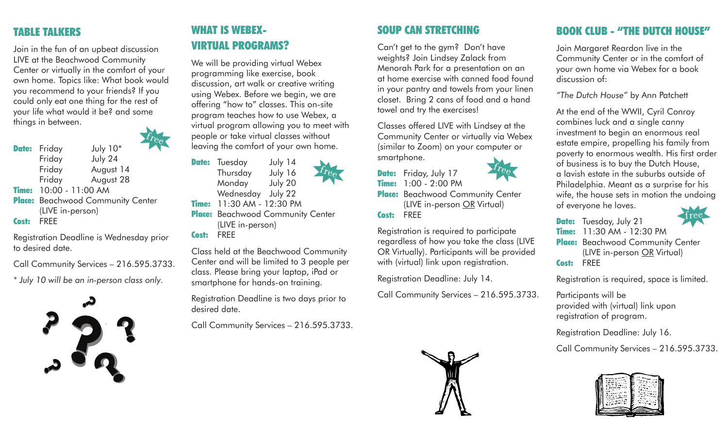### TABLE TALKERS

Join in the fun of an upbeat discussion LIVE at the Beachwood Community Center or virtually in the comfort of your own home. Topics like: What book would you recommend to your friends? If you could only eat one thing for the rest of your life what would it be? and some things in between.

Date: Friday July 10\* Friday July 24 Friday August 14 Friday August 28 **Time:** 10:00 - 11:00 AM Place: Beachwood Community Center (LIVE in-person) Cost: FREE

Registration Deadline is Wednesday prior to desired date.

Call Community Services – 216.595.3733.

*\* July 10 will be an in-person class only.* 



# WHAT IS WEBEX-VIRTUAL PROGRAMS?

We will be providing virtual Webex programming like exercise, book discussion, art walk or creative writing using Webex. Before we begin, we are offering "how to" classes. This on-site program teaches how to use Webex, a virtual program allowing you to meet with people or take virtual classes without leaving the comfort of your own home.

**Date:** Tuesday July 14 Thursday July 16 Monday July 20 Wednesday July 22 Time: 11:30 AM - 12:30 PM Place: Beachwood Community Center (LIVE in-person)

Cost: FREE

Class held at the Beachwood Community Center and will be limited to 3 people per class. Please bring your laptop, iPad or smartphone for hands-on training.

Registration Deadline is two days prior to desired date.

Call Community Services – 216.595.3733.



Can't get to the gym? Don't have weights? Join Lindsey Zalack from Menorah Park for a presentation on an at home exercise with canned food found in your pantry and towels from your linen closet. Bring 2 cans of food and a hand towel and try the exercises!

Classes offered LIVE with Lindsey at the Community Center or virtually via Webex (similar to Zoom) on your computer or smartphone.

Date: Friday, July 17 Time: 1:00 - 2:00 PM Place: Beachwood Community Center (LIVE in-person OR Virtual) Cost: FREE

Registration is required to participate regardless of how you take the class (LIVE OR Virtually). Participants will be provided with (virtual) link upon registration.

Registration Deadline: July 14.

Call Community Services – 216.595.3733.



# BOOK CLUB - "THE DUTCH HOUSE"

Join Margaret Reardon live in the Community Center or in the comfort of your own home via Webex for a book discussion of:

*"The Dutch House"* by Ann Patchett

At the end of the WWII, Cyril Conroy combines luck and a single canny investment to begin an enormous real estate empire, propelling his family from poverty to enormous wealth. His first order of business is to buy the Dutch House, a lavish estate in the suburbs outside of Philadelphia. Meant as a surprise for his wife, the house sets in motion the undoing of everyone he loves.

Date: Tuesday, July 21 **Time:** 11:30 AM - 12:30 PM Place: Beachwood Community Center (LIVE in-person OR Virtual)

Cost: FREE

Registration is required, space is limited.

Participants will be provided with (virtual) link upon registration of program.

Registration Deadline: July 16.

Call Community Services – 216.595.3733.